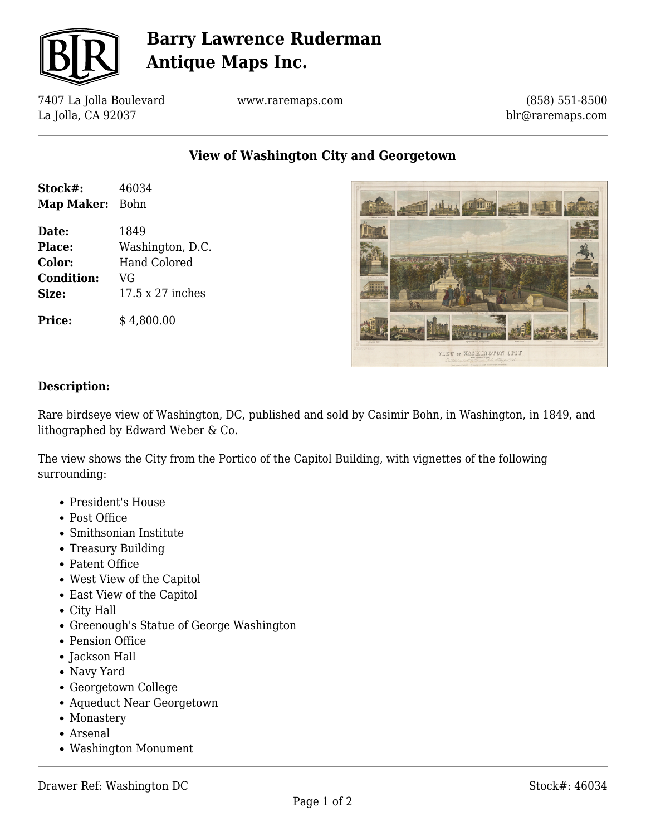

# **Barry Lawrence Ruderman Antique Maps Inc.**

7407 La Jolla Boulevard La Jolla, CA 92037

www.raremaps.com

(858) 551-8500 blr@raremaps.com

**View of Washington City and Georgetown**

| Stock#:    | 46034 |
|------------|-------|
| Map Maker: | Bohn  |

**Date:** 1849 **Place:** Washington, D.C. **Color:** Hand Colored **Condition:** VG **Size:** 17.5 x 27 inches

**Price:**  $$4,800.00$ 



### **Description:**

Rare birdseye view of Washington, DC, published and sold by Casimir Bohn, in Washington, in 1849, and lithographed by Edward Weber & Co.

The view shows the City from the Portico of the Capitol Building, with vignettes of the following surrounding:

- President's House
- Post Office
- Smithsonian Institute
- Treasury Building
- Patent Office
- West View of the Capitol
- East View of the Capitol
- City Hall
- Greenough's Statue of George Washington
- Pension Office
- Jackson Hall
- Navy Yard
- Georgetown College
- Aqueduct Near Georgetown
- Monastery
- Arsenal
- Washington Monument